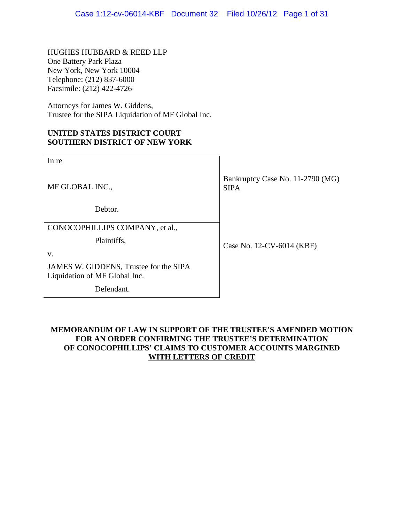HUGHES HUBBARD & REED LLP One Battery Park Plaza New York, New York 10004 Telephone: (212) 837-6000 Facsimile: (212) 422-4726

Attorneys for James W. Giddens, Trustee for the SIPA Liquidation of MF Global Inc.

## **UNITED STATES DISTRICT COURT SOUTHERN DISTRICT OF NEW YORK**

| In re                                                                   |                                                 |
|-------------------------------------------------------------------------|-------------------------------------------------|
| MF GLOBAL INC.,                                                         | Bankruptcy Case No. 11-2790 (MG)<br><b>SIPA</b> |
| Debtor.                                                                 |                                                 |
| CONOCOPHILLIPS COMPANY, et al.,                                         |                                                 |
| Plaintiffs,                                                             | Case No. 12-CV-6014 (KBF)                       |
| V.                                                                      |                                                 |
| JAMES W. GIDDENS, Trustee for the SIPA<br>Liquidation of MF Global Inc. |                                                 |

Defendant.

# **MEMORANDUM OF LAW IN SUPPORT OF THE TRUSTEE'S AMENDED MOTION FOR AN ORDER CONFIRMING THE TRUSTEE'S DETERMINATION OF CONOCOPHILLIPS' CLAIMS TO CUSTOMER ACCOUNTS MARGINED WITH LETTERS OF CREDIT**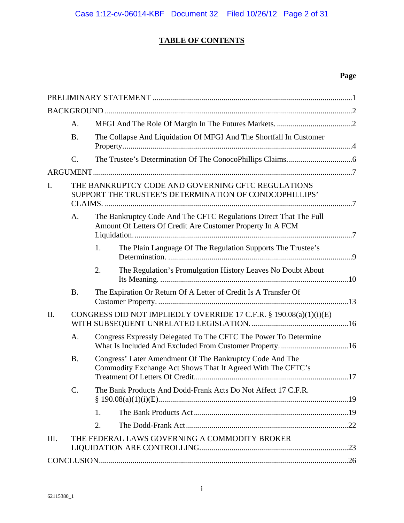# **TABLE OF CONTENTS**

# **Page**

| A.                                                                                                                                    |
|---------------------------------------------------------------------------------------------------------------------------------------|
| <b>B.</b><br>The Collapse And Liquidation Of MFGI And The Shortfall In Customer                                                       |
| $\mathcal{C}$ .                                                                                                                       |
|                                                                                                                                       |
| THE BANKRUPTCY CODE AND GOVERNING CFTC REGULATIONS<br>I.<br>SUPPORT THE TRUSTEE'S DETERMINATION OF CONOCOPHILLIPS'                    |
| The Bankruptcy Code And The CFTC Regulations Direct That The Full<br>A.<br>Amount Of Letters Of Credit Are Customer Property In A FCM |
| The Plain Language Of The Regulation Supports The Trustee's<br>1.                                                                     |
| 2.<br>The Regulation's Promulgation History Leaves No Doubt About                                                                     |
| The Expiration Or Return Of A Letter of Credit Is A Transfer Of<br><b>B.</b>                                                          |
| CONGRESS DID NOT IMPLIEDLY OVERRIDE 17 C.F.R. § 190.08(a)(1)(i)(E)<br>II.                                                             |
| Congress Expressly Delegated To The CFTC The Power To Determine<br>A.                                                                 |
| <b>B.</b><br>Congress' Later Amendment Of The Bankruptcy Code And The<br>Commodity Exchange Act Shows That It Agreed With The CFTC's  |
| The Bank Products And Dodd-Frank Acts Do Not Affect 17 C.F.R.<br>C.                                                                   |
| 1.                                                                                                                                    |
| 2.                                                                                                                                    |
| THE FEDERAL LAWS GOVERNING A COMMODITY BROKER<br>III.                                                                                 |
|                                                                                                                                       |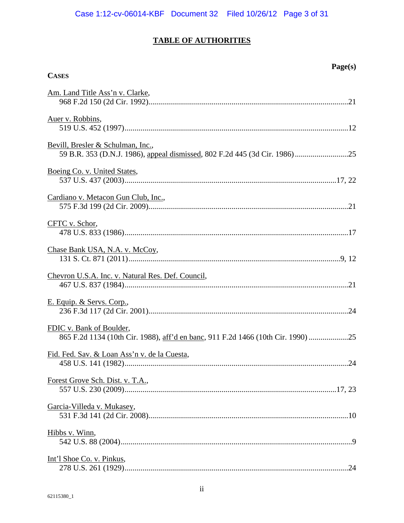# **TABLE OF AUTHORITIES**

**Page(s)** 

| Am. Land Title Ass'n v. Clarke,                                                                           |
|-----------------------------------------------------------------------------------------------------------|
| Auer v. Robbins,                                                                                          |
| Bevill, Bresler & Schulman, Inc.,                                                                         |
| Boeing Co. v. United States,                                                                              |
| Cardiano v. Metacon Gun Club, Inc.,                                                                       |
| CFTC v. Schor,                                                                                            |
| Chase Bank USA, N.A. v. McCoy,                                                                            |
| Chevron U.S.A. Inc. v. Natural Res. Def. Council,                                                         |
| E. Equip. & Servs. Corp.,                                                                                 |
| FDIC v. Bank of Boulder,<br>865 F.2d 1134 (10th Cir. 1988), aff'd en banc, 911 F.2d 1466 (10th Cir. 1990) |
| Fid. Fed. Sav. & Loan Ass'n v. de la Cuesta,                                                              |
| Forest Grove Sch. Dist. v. T.A.,                                                                          |
| Garcia-Villeda v. Mukasey,                                                                                |
| Hibbs v. Winn,                                                                                            |
| Int'l Shoe Co. v. Pinkus,                                                                                 |

**CASES**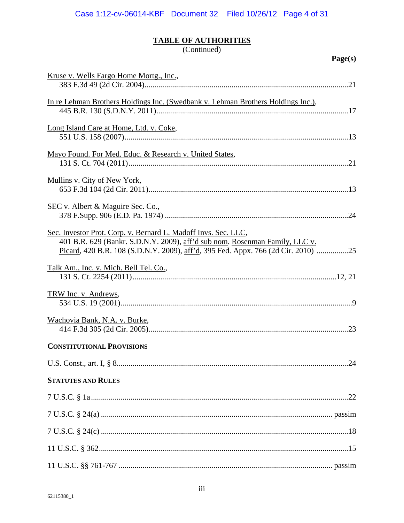# TABLE OF AUTHORITIES<br>(Continued)

| O<br>iρ<br>ı<br>、 |
|-------------------|
|-------------------|

| Kruse v. Wells Fargo Home Mortg., Inc.,                                          |
|----------------------------------------------------------------------------------|
|                                                                                  |
| In re Lehman Brothers Holdings Inc. (Swedbank v. Lehman Brothers Holdings Inc.), |
|                                                                                  |
| Long Island Care at Home, Ltd. v. Coke,                                          |
|                                                                                  |
| Mayo Found. For Med. Educ. & Research v. United States,                          |
|                                                                                  |
| Mullins v. City of New York,                                                     |
|                                                                                  |
| SEC v. Albert & Maguire Sec. Co.,                                                |
| Sec. Investor Prot. Corp. v. Bernard L. Madoff Invs. Sec. LLC,                   |
| 401 B.R. 629 (Bankr. S.D.N.Y. 2009), aff'd sub nom. Rosenman Family, LLC v.      |
| Picard, 420 B.R. 108 (S.D.N.Y. 2009), aff'd, 395 Fed. Appx. 766 (2d Cir. 2010)   |
| Talk Am., Inc. v. Mich. Bell Tel. Co.,                                           |
|                                                                                  |
| TRW Inc. v. Andrews,                                                             |
|                                                                                  |
| Wachovia Bank, N.A. v. Burke,                                                    |
|                                                                                  |
| <b>CONSTITUTIONAL PROVISIONS</b>                                                 |
|                                                                                  |
| <b>STATUTES AND RULES</b>                                                        |
|                                                                                  |
|                                                                                  |
|                                                                                  |
|                                                                                  |
|                                                                                  |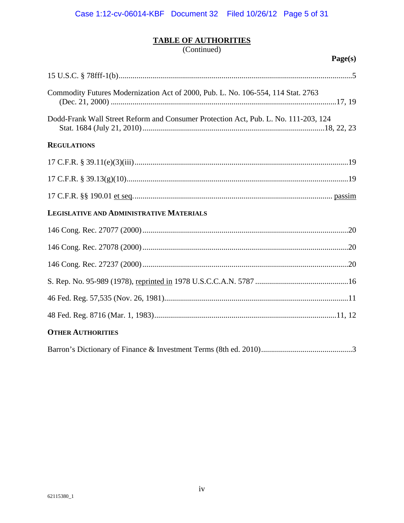# **TABLE OF AUTHORITIES**

(Continued)

| Page(s)                                                                             |
|-------------------------------------------------------------------------------------|
|                                                                                     |
| Commodity Futures Modernization Act of 2000, Pub. L. No. 106-554, 114 Stat. 2763    |
| Dodd-Frank Wall Street Reform and Consumer Protection Act, Pub. L. No. 111-203, 124 |
| <b>REGULATIONS</b>                                                                  |
|                                                                                     |
|                                                                                     |
|                                                                                     |
| <b>LEGISLATIVE AND ADMINISTRATIVE MATERIALS</b>                                     |
|                                                                                     |
|                                                                                     |
|                                                                                     |
|                                                                                     |
|                                                                                     |
|                                                                                     |
| <b>OTHER AUTHORITIES</b>                                                            |
|                                                                                     |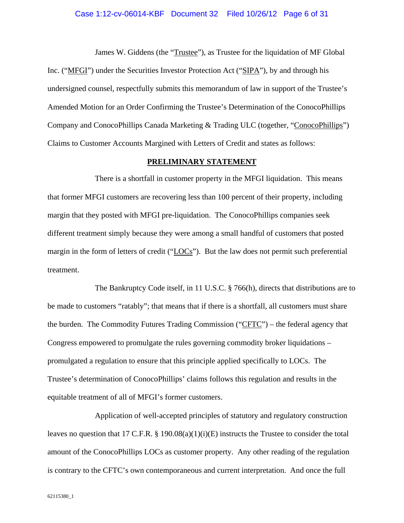#### Case 1:12-cv-06014-KBF Document 32 Filed 10/26/12 Page 6 of 31

James W. Giddens (the "*Trustee"*), as Trustee for the liquidation of MF Global Inc. ("MFGI") under the Securities Investor Protection Act ("SIPA"), by and through his undersigned counsel, respectfully submits this memorandum of law in support of the Trustee's Amended Motion for an Order Confirming the Trustee's Determination of the ConocoPhillips Company and ConocoPhillips Canada Marketing & Trading ULC (together, "ConocoPhillips") Claims to Customer Accounts Margined with Letters of Credit and states as follows:

#### **PRELIMINARY STATEMENT**

There is a shortfall in customer property in the MFGI liquidation. This means that former MFGI customers are recovering less than 100 percent of their property, including margin that they posted with MFGI pre-liquidation. The ConocoPhillips companies seek different treatment simply because they were among a small handful of customers that posted margin in the form of letters of credit ("LOCs"). But the law does not permit such preferential treatment.

The Bankruptcy Code itself, in 11 U.S.C. § 766(h), directs that distributions are to be made to customers "ratably"; that means that if there is a shortfall, all customers must share the burden. The Commodity Futures Trading Commission ("CFTC") – the federal agency that Congress empowered to promulgate the rules governing commodity broker liquidations – promulgated a regulation to ensure that this principle applied specifically to LOCs. The Trustee's determination of ConocoPhillips' claims follows this regulation and results in the equitable treatment of all of MFGI's former customers.

Application of well-accepted principles of statutory and regulatory construction leaves no question that 17 C.F.R. § 190.08(a)(1)(i)(E) instructs the Trustee to consider the total amount of the ConocoPhillips LOCs as customer property. Any other reading of the regulation is contrary to the CFTC's own contemporaneous and current interpretation. And once the full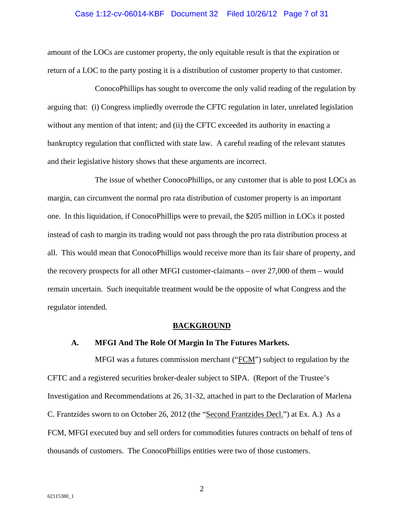#### Case 1:12-cv-06014-KBF Document 32 Filed 10/26/12 Page 7 of 31

amount of the LOCs are customer property, the only equitable result is that the expiration or return of a LOC to the party posting it is a distribution of customer property to that customer.

ConocoPhillips has sought to overcome the only valid reading of the regulation by arguing that: (i) Congress impliedly overrode the CFTC regulation in later, unrelated legislation without any mention of that intent; and (ii) the CFTC exceeded its authority in enacting a bankruptcy regulation that conflicted with state law. A careful reading of the relevant statutes and their legislative history shows that these arguments are incorrect.

The issue of whether ConocoPhillips, or any customer that is able to post LOCs as margin, can circumvent the normal pro rata distribution of customer property is an important one. In this liquidation, if ConocoPhillips were to prevail, the \$205 million in LOCs it posted instead of cash to margin its trading would not pass through the pro rata distribution process at all. This would mean that ConocoPhillips would receive more than its fair share of property, and the recovery prospects for all other MFGI customer-claimants – over 27,000 of them – would remain uncertain. Such inequitable treatment would be the opposite of what Congress and the regulator intended.

#### **BACKGROUND**

### **A. MFGI And The Role Of Margin In The Futures Markets.**

MFGI was a futures commission merchant ("FCM") subject to regulation by the CFTC and a registered securities broker-dealer subject to SIPA. (Report of the Trustee's Investigation and Recommendations at 26, 31-32, attached in part to the Declaration of Marlena C. Frantzides sworn to on October 26, 2012 (the "Second Frantzides Decl.") at Ex. A.) As a FCM, MFGI executed buy and sell orders for commodities futures contracts on behalf of tens of thousands of customers. The ConocoPhillips entities were two of those customers.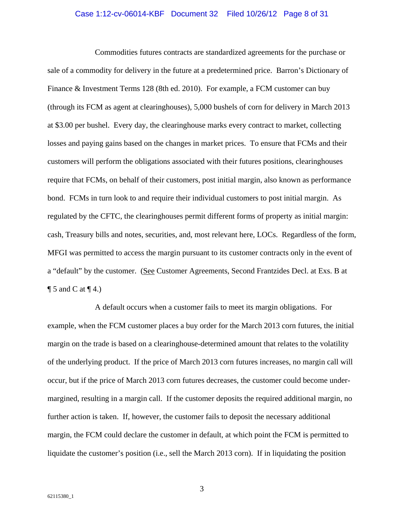# Case 1:12-cv-06014-KBF Document 32 Filed 10/26/12 Page 8 of 31

Commodities futures contracts are standardized agreements for the purchase or sale of a commodity for delivery in the future at a predetermined price. Barron's Dictionary of Finance & Investment Terms 128 (8th ed. 2010). For example, a FCM customer can buy (through its FCM as agent at clearinghouses), 5,000 bushels of corn for delivery in March 2013 at \$3.00 per bushel. Every day, the clearinghouse marks every contract to market, collecting losses and paying gains based on the changes in market prices. To ensure that FCMs and their customers will perform the obligations associated with their futures positions, clearinghouses require that FCMs, on behalf of their customers, post initial margin, also known as performance bond. FCMs in turn look to and require their individual customers to post initial margin. As regulated by the CFTC, the clearinghouses permit different forms of property as initial margin: cash, Treasury bills and notes, securities, and, most relevant here, LOCs. Regardless of the form, MFGI was permitted to access the margin pursuant to its customer contracts only in the event of a "default" by the customer. (See Customer Agreements, Second Frantzides Decl. at Exs. B at  $\P$  5 and C at  $\P$  4.)

A default occurs when a customer fails to meet its margin obligations. For example, when the FCM customer places a buy order for the March 2013 corn futures, the initial margin on the trade is based on a clearinghouse-determined amount that relates to the volatility of the underlying product. If the price of March 2013 corn futures increases, no margin call will occur, but if the price of March 2013 corn futures decreases, the customer could become undermargined, resulting in a margin call. If the customer deposits the required additional margin, no further action is taken. If, however, the customer fails to deposit the necessary additional margin, the FCM could declare the customer in default, at which point the FCM is permitted to liquidate the customer's position (i.e., sell the March 2013 corn). If in liquidating the position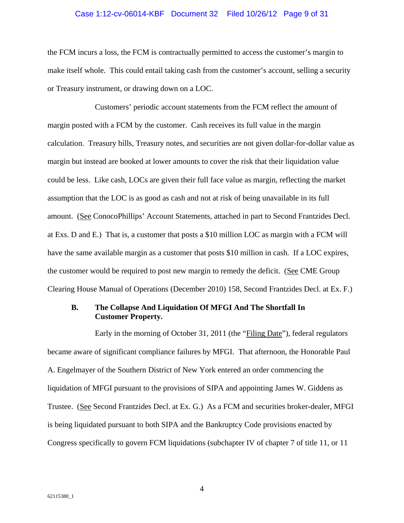#### Case 1:12-cv-06014-KBF Document 32 Filed 10/26/12 Page 9 of 31

the FCM incurs a loss, the FCM is contractually permitted to access the customer's margin to make itself whole. This could entail taking cash from the customer's account, selling a security or Treasury instrument, or drawing down on a LOC.

Customers' periodic account statements from the FCM reflect the amount of margin posted with a FCM by the customer. Cash receives its full value in the margin calculation. Treasury bills, Treasury notes, and securities are not given dollar-for-dollar value as margin but instead are booked at lower amounts to cover the risk that their liquidation value could be less. Like cash, LOCs are given their full face value as margin, reflecting the market assumption that the LOC is as good as cash and not at risk of being unavailable in its full amount. (See ConocoPhillips' Account Statements, attached in part to Second Frantzides Decl. at Exs. D and E.) That is, a customer that posts a \$10 million LOC as margin with a FCM will have the same available margin as a customer that posts \$10 million in cash. If a LOC expires, the customer would be required to post new margin to remedy the deficit. (See CME Group Clearing House Manual of Operations (December 2010) 158, Second Frantzides Decl. at Ex. F.)

#### **B. The Collapse And Liquidation Of MFGI And The Shortfall In Customer Property.**

Early in the morning of October 31, 2011 (the "Filing Date"), federal regulators became aware of significant compliance failures by MFGI. That afternoon, the Honorable Paul A. Engelmayer of the Southern District of New York entered an order commencing the liquidation of MFGI pursuant to the provisions of SIPA and appointing James W. Giddens as Trustee. (See Second Frantzides Decl. at Ex. G.) As a FCM and securities broker-dealer, MFGI is being liquidated pursuant to both SIPA and the Bankruptcy Code provisions enacted by Congress specifically to govern FCM liquidations (subchapter IV of chapter 7 of title 11, or 11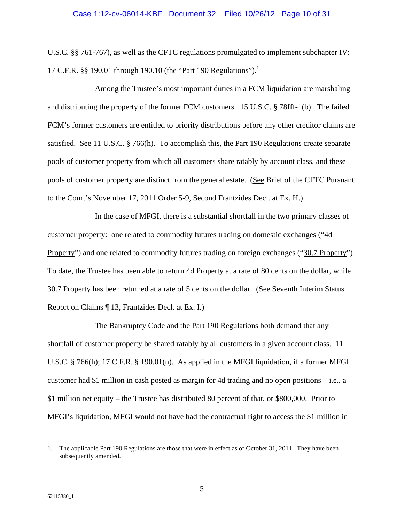U.S.C. §§ 761-767), as well as the CFTC regulations promulgated to implement subchapter IV: 17 C.F.R. §§ 190.01 through 190.10 (the "Part 190 Regulations").<sup>1</sup>

Among the Trustee's most important duties in a FCM liquidation are marshaling and distributing the property of the former FCM customers. 15 U.S.C. § 78fff-1(b). The failed FCM's former customers are entitled to priority distributions before any other creditor claims are satisfied. See 11 U.S.C. § 766(h). To accomplish this, the Part 190 Regulations create separate pools of customer property from which all customers share ratably by account class, and these pools of customer property are distinct from the general estate. (See Brief of the CFTC Pursuant to the Court's November 17, 2011 Order 5-9, Second Frantzides Decl. at Ex. H.)

In the case of MFGI, there is a substantial shortfall in the two primary classes of customer property: one related to commodity futures trading on domestic exchanges ("4d Property") and one related to commodity futures trading on foreign exchanges ("30.7 Property"). To date, the Trustee has been able to return 4d Property at a rate of 80 cents on the dollar, while 30.7 Property has been returned at a rate of 5 cents on the dollar. (See Seventh Interim Status Report on Claims ¶ 13, Frantzides Decl. at Ex. I.)

The Bankruptcy Code and the Part 190 Regulations both demand that any shortfall of customer property be shared ratably by all customers in a given account class. 11 U.S.C. § 766(h); 17 C.F.R. § 190.01(n). As applied in the MFGI liquidation, if a former MFGI customer had \$1 million in cash posted as margin for 4d trading and no open positions – i.e., a \$1 million net equity – the Trustee has distributed 80 percent of that, or \$800,000. Prior to MFGI's liquidation, MFGI would not have had the contractual right to access the \$1 million in

l

<sup>1.</sup> The applicable Part 190 Regulations are those that were in effect as of October 31, 2011. They have been subsequently amended.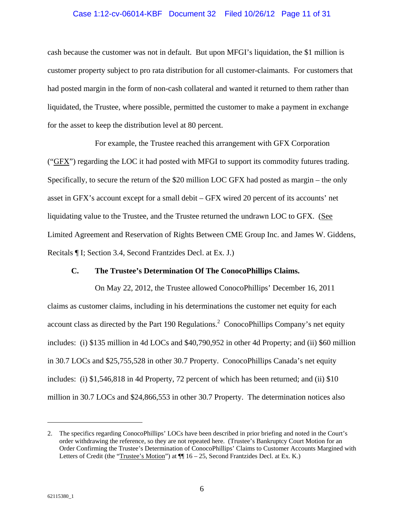# Case 1:12-cv-06014-KBF Document 32 Filed 10/26/12 Page 11 of 31

cash because the customer was not in default. But upon MFGI's liquidation, the \$1 million is customer property subject to pro rata distribution for all customer-claimants. For customers that had posted margin in the form of non-cash collateral and wanted it returned to them rather than liquidated, the Trustee, where possible, permitted the customer to make a payment in exchange for the asset to keep the distribution level at 80 percent.

For example, the Trustee reached this arrangement with GFX Corporation ("GFX") regarding the LOC it had posted with MFGI to support its commodity futures trading. Specifically, to secure the return of the \$20 million LOC GFX had posted as margin – the only asset in GFX's account except for a small debit – GFX wired 20 percent of its accounts' net liquidating value to the Trustee, and the Trustee returned the undrawn LOC to GFX. (See Limited Agreement and Reservation of Rights Between CME Group Inc. and James W. Giddens, Recitals ¶ I; Section 3.4, Second Frantzides Decl. at Ex. J.)

### **C. The Trustee's Determination Of The ConocoPhillips Claims.**

On May 22, 2012, the Trustee allowed ConocoPhillips' December 16, 2011 claims as customer claims, including in his determinations the customer net equity for each account class as directed by the Part 190 Regulations.<sup>2</sup> ConocoPhillips Company's net equity includes: (i) \$135 million in 4d LOCs and \$40,790,952 in other 4d Property; and (ii) \$60 million in 30.7 LOCs and \$25,755,528 in other 30.7 Property. ConocoPhillips Canada's net equity includes: (i) \$1,546,818 in 4d Property, 72 percent of which has been returned; and (ii) \$10 million in 30.7 LOCs and \$24,866,553 in other 30.7 Property. The determination notices also

 $\overline{\phantom{a}}$ 

<sup>2.</sup> The specifics regarding ConocoPhillips' LOCs have been described in prior briefing and noted in the Court's order withdrawing the reference, so they are not repeated here. (Trustee's Bankruptcy Court Motion for an Order Confirming the Trustee's Determination of ConocoPhillips' Claims to Customer Accounts Margined with Letters of Credit (the "Trustee's Motion") at  $\P$  16 – 25, Second Frantzides Decl. at Ex. K.)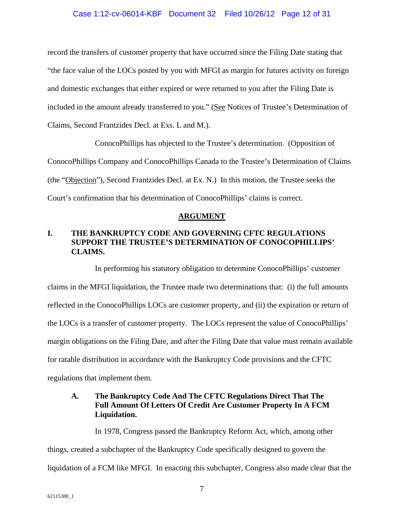### Case 1:12-cv-06014-KBF Document 32 Filed 10/26/12 Page 12 of 31

record the transfers of customer property that have occurred since the Filing Date stating that "the face value of the LOCs posted by you with MFGI as margin for futures activity on foreign and domestic exchanges that either expired or were returned to you after the Filing Date is included in the amount already transferred to you." (See Notices of Trustee's Determination of Claims, Second Frantzides Decl. at Exs. L and M.).

ConocoPhillips has objected to the Trustee's determination. (Opposition of ConocoPhillips Company and ConocoPhillips Canada to the Trustee's Determination of Claims (the "Objection"), Second Frantzides Decl. at Ex. N.) In this motion, the Trustee seeks the Court's confirmation that his determination of ConocoPhillips' claims is correct.

#### **ARGUMENT**

# **I. THE BANKRUPTCY CODE AND GOVERNING CFTC REGULATIONS SUPPORT THE TRUSTEE'S DETERMINATION OF CONOCOPHILLIPS' CLAIMS.**

In performing his statutory obligation to determine ConocoPhillips' customer claims in the MFGI liquidation, the Trustee made two determinations that: (i) the full amounts reflected in the ConocoPhillips LOCs are customer property, and (ii) the expiration or return of the LOCs is a transfer of customer property. The LOCs represent the value of ConocoPhillips' margin obligations on the Filing Date, and after the Filing Date that value must remain available for ratable distribution in accordance with the Bankruptcy Code provisions and the CFTC regulations that implement them.

# **A. The Bankruptcy Code And The CFTC Regulations Direct That The Full Amount Of Letters Of Credit Are Customer Property In A FCM Liquidation.**

In 1978, Congress passed the Bankruptcy Reform Act, which, among other things, created a subchapter of the Bankruptcy Code specifically designed to govern the liquidation of a FCM like MFGI. In enacting this subchapter, Congress also made clear that the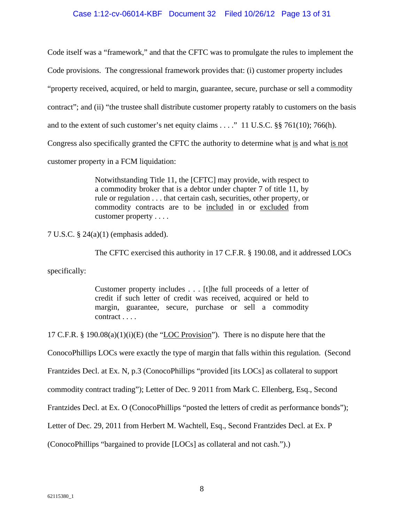#### Case 1:12-cv-06014-KBF Document 32 Filed 10/26/12 Page 13 of 31

Code itself was a "framework," and that the CFTC was to promulgate the rules to implement the Code provisions. The congressional framework provides that: (i) customer property includes "property received, acquired, or held to margin, guarantee, secure, purchase or sell a commodity contract"; and (ii) "the trustee shall distribute customer property ratably to customers on the basis and to the extent of such customer's net equity claims  $\dots$ ." 11 U.S.C. §§ 761(10); 766(h). Congress also specifically granted the CFTC the authority to determine what is and what is not customer property in a FCM liquidation:

> Notwithstanding Title 11, the [CFTC] may provide, with respect to a commodity broker that is a debtor under chapter 7 of title 11, by rule or regulation . . . that certain cash, securities, other property, or commodity contracts are to be included in or excluded from customer property . . . .

7 U.S.C. § 24(a)(1) (emphasis added).

The CFTC exercised this authority in 17 C.F.R. § 190.08, and it addressed LOCs

specifically:

Customer property includes . . . [t]he full proceeds of a letter of credit if such letter of credit was received, acquired or held to margin, guarantee, secure, purchase or sell a commodity contract . . . .

17 C.F.R. § 190.08(a)(1)(i)(E) (the "LOC Provision"). There is no dispute here that the

ConocoPhillips LOCs were exactly the type of margin that falls within this regulation. (Second

Frantzides Decl. at Ex. N, p.3 (ConocoPhillips "provided [its LOCs] as collateral to support

commodity contract trading"); Letter of Dec. 9 2011 from Mark C. Ellenberg, Esq., Second

Frantzides Decl. at Ex. O (ConocoPhillips "posted the letters of credit as performance bonds");

Letter of Dec. 29, 2011 from Herbert M. Wachtell, Esq., Second Frantzides Decl. at Ex. P

(ConocoPhillips "bargained to provide [LOCs] as collateral and not cash.").)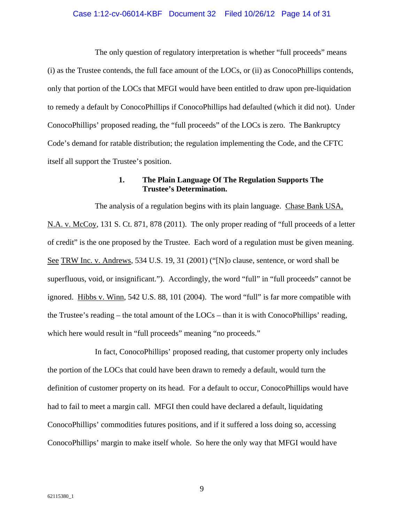#### Case 1:12-cv-06014-KBF Document 32 Filed 10/26/12 Page 14 of 31

The only question of regulatory interpretation is whether "full proceeds" means (i) as the Trustee contends, the full face amount of the LOCs, or (ii) as ConocoPhillips contends, only that portion of the LOCs that MFGI would have been entitled to draw upon pre-liquidation to remedy a default by ConocoPhillips if ConocoPhillips had defaulted (which it did not). Under ConocoPhillips' proposed reading, the "full proceeds" of the LOCs is zero. The Bankruptcy Code's demand for ratable distribution; the regulation implementing the Code, and the CFTC itself all support the Trustee's position.

# **1. The Plain Language Of The Regulation Supports The Trustee's Determination.**

The analysis of a regulation begins with its plain language. Chase Bank USA, N.A. v. McCoy, 131 S. Ct. 871, 878 (2011). The only proper reading of "full proceeds of a letter of credit" is the one proposed by the Trustee. Each word of a regulation must be given meaning. See TRW Inc. v. Andrews, 534 U.S. 19, 31 (2001) ("[N]o clause, sentence, or word shall be superfluous, void, or insignificant."). Accordingly, the word "full" in "full proceeds" cannot be ignored. Hibbs v. Winn, 542 U.S. 88, 101 (2004). The word "full" is far more compatible with the Trustee's reading – the total amount of the  $LOGs$  – than it is with ConocoPhillips' reading, which here would result in "full proceeds" meaning "no proceeds."

In fact, ConocoPhillips' proposed reading, that customer property only includes the portion of the LOCs that could have been drawn to remedy a default, would turn the definition of customer property on its head. For a default to occur, ConocoPhillips would have had to fail to meet a margin call. MFGI then could have declared a default, liquidating ConocoPhillips' commodities futures positions, and if it suffered a loss doing so, accessing ConocoPhillips' margin to make itself whole. So here the only way that MFGI would have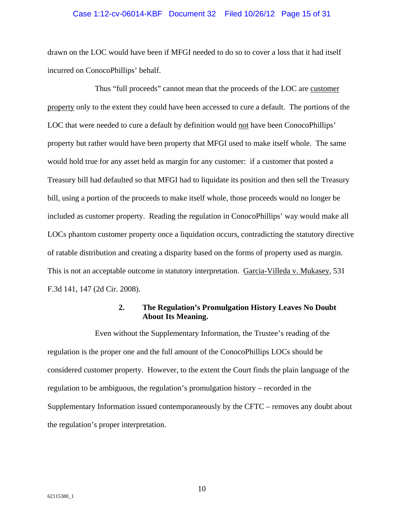#### Case 1:12-cv-06014-KBF Document 32 Filed 10/26/12 Page 15 of 31

drawn on the LOC would have been if MFGI needed to do so to cover a loss that it had itself incurred on ConocoPhillips' behalf.

Thus "full proceeds" cannot mean that the proceeds of the LOC are customer property only to the extent they could have been accessed to cure a default. The portions of the LOC that were needed to cure a default by definition would not have been ConocoPhillips' property but rather would have been property that MFGI used to make itself whole. The same would hold true for any asset held as margin for any customer: if a customer that posted a Treasury bill had defaulted so that MFGI had to liquidate its position and then sell the Treasury bill, using a portion of the proceeds to make itself whole, those proceeds would no longer be included as customer property. Reading the regulation in ConocoPhillips' way would make all LOCs phantom customer property once a liquidation occurs, contradicting the statutory directive of ratable distribution and creating a disparity based on the forms of property used as margin. This is not an acceptable outcome in statutory interpretation. Garcia-Villeda v. Mukasey, 531 F.3d 141, 147 (2d Cir. 2008).

### **2. The Regulation's Promulgation History Leaves No Doubt About Its Meaning.**

Even without the Supplementary Information, the Trustee's reading of the regulation is the proper one and the full amount of the ConocoPhillips LOCs should be considered customer property. However, to the extent the Court finds the plain language of the regulation to be ambiguous, the regulation's promulgation history – recorded in the Supplementary Information issued contemporaneously by the CFTC – removes any doubt about the regulation's proper interpretation.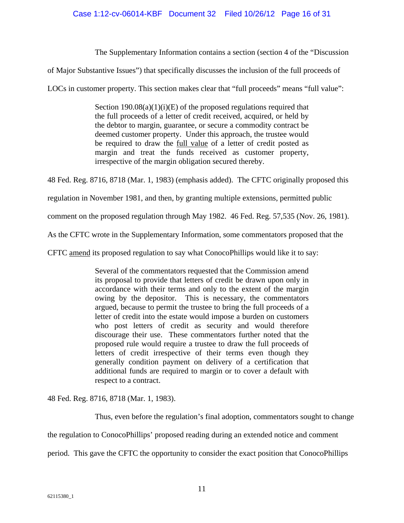The Supplementary Information contains a section (section 4 of the "Discussion

of Major Substantive Issues") that specifically discusses the inclusion of the full proceeds of

LOCs in customer property. This section makes clear that "full proceeds" means "full value":

Section  $190.08(a)(1)(i)(E)$  of the proposed regulations required that the full proceeds of a letter of credit received, acquired, or held by the debtor to margin, guarantee, or secure a commodity contract be deemed customer property. Under this approach, the trustee would be required to draw the full value of a letter of credit posted as margin and treat the funds received as customer property, irrespective of the margin obligation secured thereby.

48 Fed. Reg. 8716, 8718 (Mar. 1, 1983) (emphasis added). The CFTC originally proposed this

regulation in November 1981, and then, by granting multiple extensions, permitted public

comment on the proposed regulation through May 1982. 46 Fed. Reg. 57,535 (Nov. 26, 1981).

As the CFTC wrote in the Supplementary Information, some commentators proposed that the

CFTC amend its proposed regulation to say what ConocoPhillips would like it to say:

Several of the commentators requested that the Commission amend its proposal to provide that letters of credit be drawn upon only in accordance with their terms and only to the extent of the margin owing by the depositor. This is necessary, the commentators argued, because to permit the trustee to bring the full proceeds of a letter of credit into the estate would impose a burden on customers who post letters of credit as security and would therefore discourage their use. These commentators further noted that the proposed rule would require a trustee to draw the full proceeds of letters of credit irrespective of their terms even though they generally condition payment on delivery of a certification that additional funds are required to margin or to cover a default with respect to a contract.

48 Fed. Reg. 8716, 8718 (Mar. 1, 1983).

Thus, even before the regulation's final adoption, commentators sought to change the regulation to ConocoPhillips' proposed reading during an extended notice and comment period. This gave the CFTC the opportunity to consider the exact position that ConocoPhillips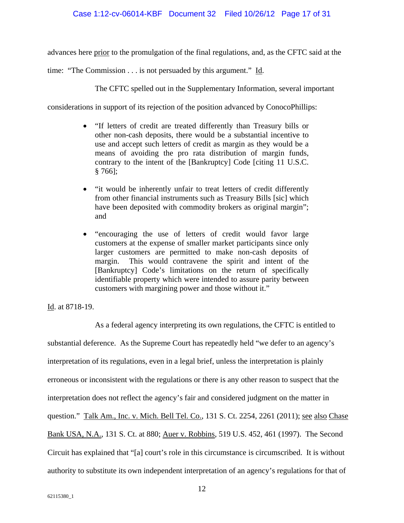advances here prior to the promulgation of the final regulations, and, as the CFTC said at the

time: "The Commission . . . is not persuaded by this argument." Id.

The CFTC spelled out in the Supplementary Information, several important

considerations in support of its rejection of the position advanced by ConocoPhillips:

- "If letters of credit are treated differently than Treasury bills or other non-cash deposits, there would be a substantial incentive to use and accept such letters of credit as margin as they would be a means of avoiding the pro rata distribution of margin funds, contrary to the intent of the [Bankruptcy] Code [citing 11 U.S.C. § 766];
- "it would be inherently unfair to treat letters of credit differently from other financial instruments such as Treasury Bills [sic] which have been deposited with commodity brokers as original margin"; and
- "encouraging the use of letters of credit would favor large customers at the expense of smaller market participants since only larger customers are permitted to make non-cash deposits of margin. This would contravene the spirit and intent of the [Bankruptcy] Code's limitations on the return of specifically identifiable property which were intended to assure parity between customers with margining power and those without it."

Id. at 8718-19.

As a federal agency interpreting its own regulations, the CFTC is entitled to substantial deference. As the Supreme Court has repeatedly held "we defer to an agency's interpretation of its regulations, even in a legal brief, unless the interpretation is plainly erroneous or inconsistent with the regulations or there is any other reason to suspect that the interpretation does not reflect the agency's fair and considered judgment on the matter in question." Talk Am., Inc. v. Mich. Bell Tel. Co., 131 S. Ct. 2254, 2261 (2011); see also Chase Bank USA, N.A., 131 S. Ct. at 880; Auer v. Robbins, 519 U.S. 452, 461 (1997). The Second Circuit has explained that "[a] court's role in this circumstance is circumscribed. It is without authority to substitute its own independent interpretation of an agency's regulations for that of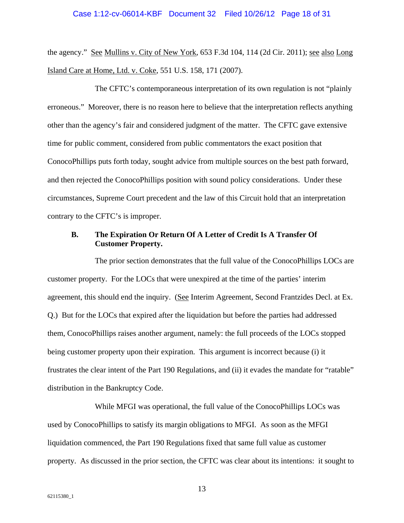#### Case 1:12-cv-06014-KBF Document 32 Filed 10/26/12 Page 18 of 31

the agency." See Mullins v. City of New York, 653 F.3d 104, 114 (2d Cir. 2011); see also Long Island Care at Home, Ltd. v. Coke, 551 U.S. 158, 171 (2007).

The CFTC's contemporaneous interpretation of its own regulation is not "plainly erroneous." Moreover, there is no reason here to believe that the interpretation reflects anything other than the agency's fair and considered judgment of the matter. The CFTC gave extensive time for public comment, considered from public commentators the exact position that ConocoPhillips puts forth today, sought advice from multiple sources on the best path forward, and then rejected the ConocoPhillips position with sound policy considerations. Under these circumstances, Supreme Court precedent and the law of this Circuit hold that an interpretation contrary to the CFTC's is improper.

### **B. The Expiration Or Return Of A Letter of Credit Is A Transfer Of Customer Property.**

The prior section demonstrates that the full value of the ConocoPhillips LOCs are customer property. For the LOCs that were unexpired at the time of the parties' interim agreement, this should end the inquiry. (See Interim Agreement, Second Frantzides Decl. at Ex. Q.) But for the LOCs that expired after the liquidation but before the parties had addressed them, ConocoPhillips raises another argument, namely: the full proceeds of the LOCs stopped being customer property upon their expiration. This argument is incorrect because (i) it frustrates the clear intent of the Part 190 Regulations, and (ii) it evades the mandate for "ratable" distribution in the Bankruptcy Code.

While MFGI was operational, the full value of the ConocoPhillips LOCs was used by ConocoPhillips to satisfy its margin obligations to MFGI. As soon as the MFGI liquidation commenced, the Part 190 Regulations fixed that same full value as customer property. As discussed in the prior section, the CFTC was clear about its intentions: it sought to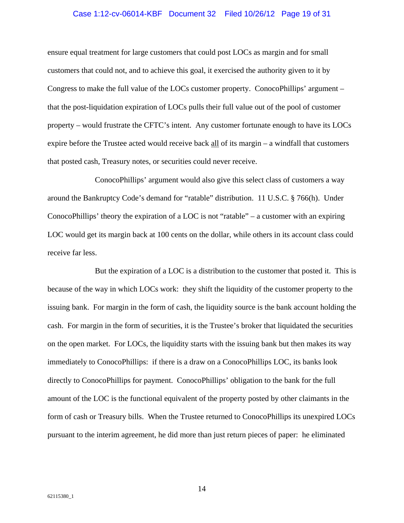# Case 1:12-cv-06014-KBF Document 32 Filed 10/26/12 Page 19 of 31

ensure equal treatment for large customers that could post LOCs as margin and for small customers that could not, and to achieve this goal, it exercised the authority given to it by Congress to make the full value of the LOCs customer property. ConocoPhillips' argument – that the post-liquidation expiration of LOCs pulls their full value out of the pool of customer property – would frustrate the CFTC's intent. Any customer fortunate enough to have its LOCs expire before the Trustee acted would receive back all of its margin – a windfall that customers that posted cash, Treasury notes, or securities could never receive.

ConocoPhillips' argument would also give this select class of customers a way around the Bankruptcy Code's demand for "ratable" distribution. 11 U.S.C. § 766(h). Under ConocoPhillips' theory the expiration of a LOC is not "ratable" – a customer with an expiring LOC would get its margin back at 100 cents on the dollar, while others in its account class could receive far less.

But the expiration of a LOC is a distribution to the customer that posted it. This is because of the way in which LOCs work: they shift the liquidity of the customer property to the issuing bank. For margin in the form of cash, the liquidity source is the bank account holding the cash. For margin in the form of securities, it is the Trustee's broker that liquidated the securities on the open market. For LOCs, the liquidity starts with the issuing bank but then makes its way immediately to ConocoPhillips: if there is a draw on a ConocoPhillips LOC, its banks look directly to ConocoPhillips for payment. ConocoPhillips' obligation to the bank for the full amount of the LOC is the functional equivalent of the property posted by other claimants in the form of cash or Treasury bills. When the Trustee returned to ConocoPhillips its unexpired LOCs pursuant to the interim agreement, he did more than just return pieces of paper: he eliminated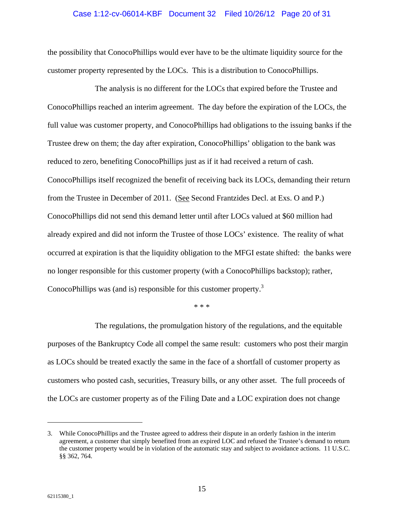#### Case 1:12-cv-06014-KBF Document 32 Filed 10/26/12 Page 20 of 31

the possibility that ConocoPhillips would ever have to be the ultimate liquidity source for the customer property represented by the LOCs. This is a distribution to ConocoPhillips.

The analysis is no different for the LOCs that expired before the Trustee and ConocoPhillips reached an interim agreement. The day before the expiration of the LOCs, the full value was customer property, and ConocoPhillips had obligations to the issuing banks if the Trustee drew on them; the day after expiration, ConocoPhillips' obligation to the bank was reduced to zero, benefiting ConocoPhillips just as if it had received a return of cash. ConocoPhillips itself recognized the benefit of receiving back its LOCs, demanding their return from the Trustee in December of 2011. (See Second Frantzides Decl. at Exs. O and P.) ConocoPhillips did not send this demand letter until after LOCs valued at \$60 million had already expired and did not inform the Trustee of those LOCs' existence. The reality of what occurred at expiration is that the liquidity obligation to the MFGI estate shifted: the banks were no longer responsible for this customer property (with a ConocoPhillips backstop); rather, ConocoPhillips was (and is) responsible for this customer property.<sup>3</sup>

\* \* \*

The regulations, the promulgation history of the regulations, and the equitable purposes of the Bankruptcy Code all compel the same result: customers who post their margin as LOCs should be treated exactly the same in the face of a shortfall of customer property as customers who posted cash, securities, Treasury bills, or any other asset. The full proceeds of the LOCs are customer property as of the Filing Date and a LOC expiration does not change

 $\overline{\phantom{a}}$ 

<sup>3.</sup> While ConocoPhillips and the Trustee agreed to address their dispute in an orderly fashion in the interim agreement, a customer that simply benefited from an expired LOC and refused the Trustee's demand to return the customer property would be in violation of the automatic stay and subject to avoidance actions. 11 U.S.C. §§ 362, 764.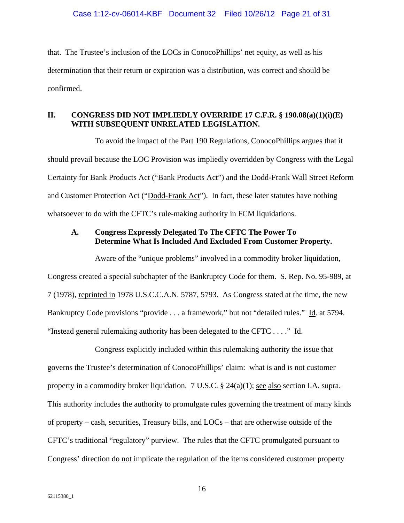that. The Trustee's inclusion of the LOCs in ConocoPhillips' net equity, as well as his determination that their return or expiration was a distribution, was correct and should be confirmed.

## **II. CONGRESS DID NOT IMPLIEDLY OVERRIDE 17 C.F.R. § 190.08(a)(1)(i)(E) WITH SUBSEQUENT UNRELATED LEGISLATION.**

To avoid the impact of the Part 190 Regulations, ConocoPhillips argues that it should prevail because the LOC Provision was impliedly overridden by Congress with the Legal Certainty for Bank Products Act ("Bank Products Act") and the Dodd-Frank Wall Street Reform and Customer Protection Act ("Dodd-Frank Act"). In fact, these later statutes have nothing whatsoever to do with the CFTC's rule-making authority in FCM liquidations.

## **A. Congress Expressly Delegated To The CFTC The Power To Determine What Is Included And Excluded From Customer Property.**

Aware of the "unique problems" involved in a commodity broker liquidation, Congress created a special subchapter of the Bankruptcy Code for them. S. Rep. No. 95-989, at 7 (1978), reprinted in 1978 U.S.C.C.A.N. 5787, 5793. As Congress stated at the time, the new Bankruptcy Code provisions "provide . . . a framework," but not "detailed rules." Id. at 5794. "Instead general rulemaking authority has been delegated to the CFTC . . . ." Id.

Congress explicitly included within this rulemaking authority the issue that governs the Trustee's determination of ConocoPhillips' claim: what is and is not customer property in a commodity broker liquidation. 7 U.S.C. § 24(a)(1); see also section I.A. supra. This authority includes the authority to promulgate rules governing the treatment of many kinds of property – cash, securities, Treasury bills, and LOCs – that are otherwise outside of the CFTC's traditional "regulatory" purview. The rules that the CFTC promulgated pursuant to Congress' direction do not implicate the regulation of the items considered customer property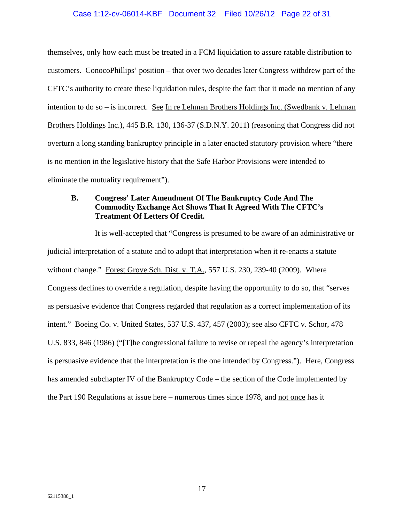#### Case 1:12-cv-06014-KBF Document 32 Filed 10/26/12 Page 22 of 31

themselves, only how each must be treated in a FCM liquidation to assure ratable distribution to customers. ConocoPhillips' position – that over two decades later Congress withdrew part of the CFTC's authority to create these liquidation rules, despite the fact that it made no mention of any intention to do so – is incorrect. See In re Lehman Brothers Holdings Inc. (Swedbank v. Lehman Brothers Holdings Inc.), 445 B.R. 130, 136-37 (S.D.N.Y. 2011) (reasoning that Congress did not overturn a long standing bankruptcy principle in a later enacted statutory provision where "there is no mention in the legislative history that the Safe Harbor Provisions were intended to eliminate the mutuality requirement").

# **B. Congress' Later Amendment Of The Bankruptcy Code And The Commodity Exchange Act Shows That It Agreed With The CFTC's Treatment Of Letters Of Credit.**

It is well-accepted that "Congress is presumed to be aware of an administrative or judicial interpretation of a statute and to adopt that interpretation when it re-enacts a statute without change." Forest Grove Sch. Dist. v. T.A., 557 U.S. 230, 239-40 (2009). Where Congress declines to override a regulation, despite having the opportunity to do so, that "serves as persuasive evidence that Congress regarded that regulation as a correct implementation of its intent." Boeing Co. v. United States, 537 U.S. 437, 457 (2003); see also CFTC v. Schor, 478 U.S. 833, 846 (1986) ("[T]he congressional failure to revise or repeal the agency's interpretation is persuasive evidence that the interpretation is the one intended by Congress."). Here, Congress has amended subchapter IV of the Bankruptcy Code – the section of the Code implemented by the Part 190 Regulations at issue here – numerous times since 1978, and not once has it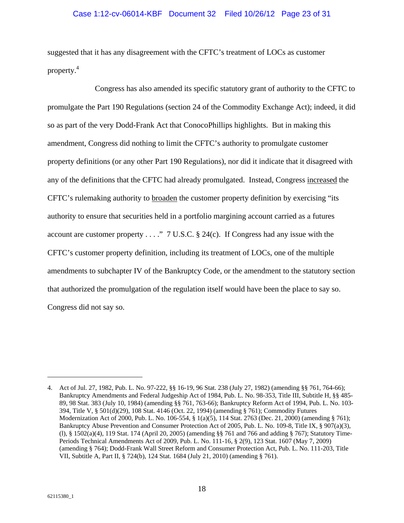### Case 1:12-cv-06014-KBF Document 32 Filed 10/26/12 Page 23 of 31

suggested that it has any disagreement with the CFTC's treatment of LOCs as customer property.<sup>4</sup>

Congress has also amended its specific statutory grant of authority to the CFTC to promulgate the Part 190 Regulations (section 24 of the Commodity Exchange Act); indeed, it did so as part of the very Dodd-Frank Act that ConocoPhillips highlights. But in making this amendment, Congress did nothing to limit the CFTC's authority to promulgate customer property definitions (or any other Part 190 Regulations), nor did it indicate that it disagreed with any of the definitions that the CFTC had already promulgated. Instead, Congress increased the CFTC's rulemaking authority to broaden the customer property definition by exercising "its authority to ensure that securities held in a portfolio margining account carried as a futures account are customer property . . . . " 7 U.S.C.  $\S$  24(c). If Congress had any issue with the CFTC's customer property definition, including its treatment of LOCs, one of the multiple amendments to subchapter IV of the Bankruptcy Code, or the amendment to the statutory section that authorized the promulgation of the regulation itself would have been the place to say so. Congress did not say so.

 $\overline{\phantom{a}}$ 

<sup>4.</sup> Act of Jul. 27, 1982, Pub. L. No. 97-222, §§ 16-19, 96 Stat. 238 (July 27, 1982) (amending §§ 761, 764-66); Bankruptcy Amendments and Federal Judgeship Act of 1984, Pub. L. No. 98-353, Title III, Subtitle H, §§ 485- 89, 98 Stat. 383 (July 10, 1984) (amending §§ 761, 763-66); Bankruptcy Reform Act of 1994, Pub. L. No. 103- 394, Title V, § 501(d)(29), 108 Stat. 4146 (Oct. 22, 1994) (amending § 761); Commodity Futures Modernization Act of 2000, Pub. L. No. 106-554, § 1(a)(5), 114 Stat. 2763 (Dec. 21, 2000) (amending § 761); Bankruptcy Abuse Prevention and Consumer Protection Act of 2005, Pub. L. No. 109-8, Title IX, § 907(a)(3), (l), § 1502(a)(4), 119 Stat. 174 (April 20, 2005) (amending §§ 761 and 766 and adding § 767); Statutory Time-Periods Technical Amendments Act of 2009, Pub. L. No. 111-16, § 2(9), 123 Stat. 1607 (May 7, 2009) (amending § 764); Dodd-Frank Wall Street Reform and Consumer Protection Act, Pub. L. No. 111-203, Title VII, Subtitle A, Part II, § 724(b), 124 Stat. 1684 (July 21, 2010) (amending § 761).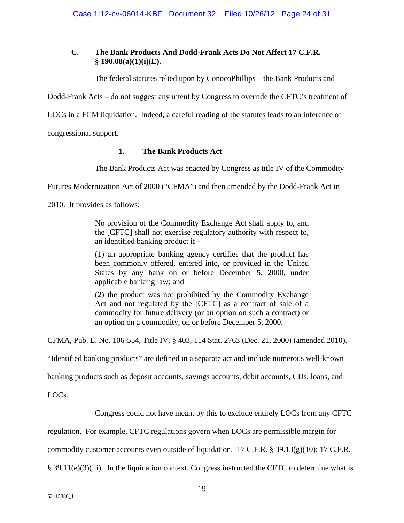# **C. The Bank Products And Dodd-Frank Acts Do Not Affect 17 C.F.R. § 190.08(a)(1)(i)(E).**

The federal statutes relied upon by ConocoPhillips – the Bank Products and

Dodd-Frank Acts – do not suggest any intent by Congress to override the CFTC's treatment of

LOCs in a FCM liquidation. Indeed, a careful reading of the statutes leads to an inference of

congressional support.

# **1. The Bank Products Act**

The Bank Products Act was enacted by Congress as title IV of the Commodity

Futures Modernization Act of 2000 ("CFMA") and then amended by the Dodd-Frank Act in

2010. It provides as follows:

No provision of the Commodity Exchange Act shall apply to, and the [CFTC] shall not exercise regulatory authority with respect to, an identified banking product if -

(1) an appropriate banking agency certifies that the product has been commonly offered, entered into, or provided in the United States by any bank on or before December 5, 2000, under applicable banking law; and

(2) the product was not prohibited by the Commodity Exchange Act and not regulated by the [CFTC] as a contract of sale of a commodity for future delivery (or an option on such a contract) or an option on a commodity, on or before December 5, 2000.

CFMA, Pub. L. No. 106-554, Title IV, § 403, 114 Stat. 2763 (Dec. 21, 2000) (amended 2010).

"Identified banking products" are defined in a separate act and include numerous well-known

banking products such as deposit accounts, savings accounts, debit accounts, CDs, loans, and

LOCs.

Congress could not have meant by this to exclude entirely LOCs from any CFTC

regulation. For example, CFTC regulations govern when LOCs are permissible margin for

commodity customer accounts even outside of liquidation. 17 C.F.R. § 39.13(g)(10); 17 C.F.R.

§ 39.11(e)(3)(iii). In the liquidation context, Congress instructed the CFTC to determine what is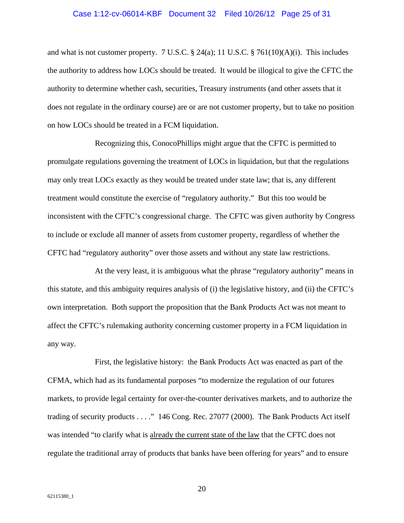#### Case 1:12-cv-06014-KBF Document 32 Filed 10/26/12 Page 25 of 31

and what is not customer property. 7 U.S.C.  $\S$  24(a); 11 U.S.C.  $\S$  761(10)(A)(i). This includes the authority to address how LOCs should be treated. It would be illogical to give the CFTC the authority to determine whether cash, securities, Treasury instruments (and other assets that it does not regulate in the ordinary course) are or are not customer property, but to take no position on how LOCs should be treated in a FCM liquidation.

Recognizing this, ConocoPhillips might argue that the CFTC is permitted to promulgate regulations governing the treatment of LOCs in liquidation, but that the regulations may only treat LOCs exactly as they would be treated under state law; that is, any different treatment would constitute the exercise of "regulatory authority." But this too would be inconsistent with the CFTC's congressional charge. The CFTC was given authority by Congress to include or exclude all manner of assets from customer property, regardless of whether the CFTC had "regulatory authority" over those assets and without any state law restrictions.

At the very least, it is ambiguous what the phrase "regulatory authority" means in this statute, and this ambiguity requires analysis of (i) the legislative history, and (ii) the CFTC's own interpretation. Both support the proposition that the Bank Products Act was not meant to affect the CFTC's rulemaking authority concerning customer property in a FCM liquidation in any way.

First, the legislative history: the Bank Products Act was enacted as part of the CFMA, which had as its fundamental purposes "to modernize the regulation of our futures markets, to provide legal certainty for over-the-counter derivatives markets, and to authorize the trading of security products . . . ." 146 Cong. Rec. 27077 (2000). The Bank Products Act itself was intended "to clarify what is already the current state of the law that the CFTC does not regulate the traditional array of products that banks have been offering for years" and to ensure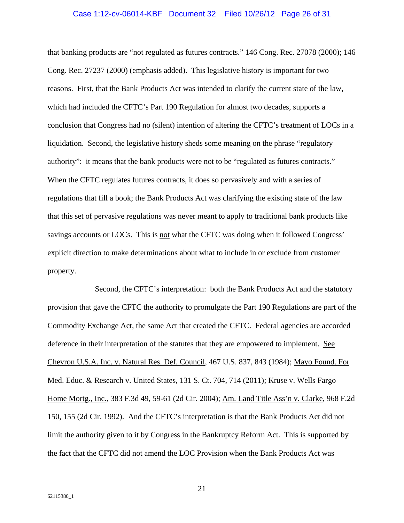#### Case 1:12-cv-06014-KBF Document 32 Filed 10/26/12 Page 26 of 31

that banking products are "not regulated as futures contracts." 146 Cong. Rec. 27078 (2000); 146 Cong. Rec. 27237 (2000) (emphasis added). This legislative history is important for two reasons. First, that the Bank Products Act was intended to clarify the current state of the law, which had included the CFTC's Part 190 Regulation for almost two decades, supports a conclusion that Congress had no (silent) intention of altering the CFTC's treatment of LOCs in a liquidation. Second, the legislative history sheds some meaning on the phrase "regulatory authority": it means that the bank products were not to be "regulated as futures contracts." When the CFTC regulates futures contracts, it does so pervasively and with a series of regulations that fill a book; the Bank Products Act was clarifying the existing state of the law that this set of pervasive regulations was never meant to apply to traditional bank products like savings accounts or LOCs. This is not what the CFTC was doing when it followed Congress' explicit direction to make determinations about what to include in or exclude from customer property.

Second, the CFTC's interpretation: both the Bank Products Act and the statutory provision that gave the CFTC the authority to promulgate the Part 190 Regulations are part of the Commodity Exchange Act, the same Act that created the CFTC. Federal agencies are accorded deference in their interpretation of the statutes that they are empowered to implement. See Chevron U.S.A. Inc. v. Natural Res. Def. Council, 467 U.S. 837, 843 (1984); Mayo Found. For Med. Educ. & Research v. United States, 131 S. Ct. 704, 714 (2011); Kruse v. Wells Fargo Home Mortg., Inc., 383 F.3d 49, 59-61 (2d Cir. 2004); Am. Land Title Ass'n v. Clarke, 968 F.2d 150, 155 (2d Cir. 1992). And the CFTC's interpretation is that the Bank Products Act did not limit the authority given to it by Congress in the Bankruptcy Reform Act. This is supported by the fact that the CFTC did not amend the LOC Provision when the Bank Products Act was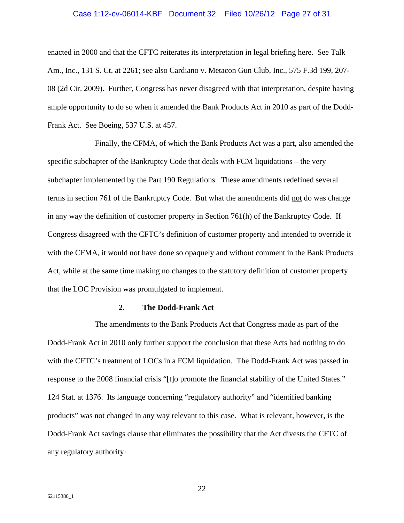# Case 1:12-cv-06014-KBF Document 32 Filed 10/26/12 Page 27 of 31

enacted in 2000 and that the CFTC reiterates its interpretation in legal briefing here. See Talk Am., Inc., 131 S. Ct. at 2261; see also Cardiano v. Metacon Gun Club, Inc., 575 F.3d 199, 207- 08 (2d Cir. 2009). Further, Congress has never disagreed with that interpretation, despite having ample opportunity to do so when it amended the Bank Products Act in 2010 as part of the Dodd-Frank Act. See Boeing, 537 U.S. at 457.

Finally, the CFMA, of which the Bank Products Act was a part, also amended the specific subchapter of the Bankruptcy Code that deals with FCM liquidations – the very subchapter implemented by the Part 190 Regulations. These amendments redefined several terms in section 761 of the Bankruptcy Code. But what the amendments did not do was change in any way the definition of customer property in Section 761(h) of the Bankruptcy Code. If Congress disagreed with the CFTC's definition of customer property and intended to override it with the CFMA, it would not have done so opaquely and without comment in the Bank Products Act, while at the same time making no changes to the statutory definition of customer property that the LOC Provision was promulgated to implement.

#### **2. The Dodd-Frank Act**

The amendments to the Bank Products Act that Congress made as part of the Dodd-Frank Act in 2010 only further support the conclusion that these Acts had nothing to do with the CFTC's treatment of LOCs in a FCM liquidation. The Dodd-Frank Act was passed in response to the 2008 financial crisis "[t]o promote the financial stability of the United States." 124 Stat. at 1376. Its language concerning "regulatory authority" and "identified banking products" was not changed in any way relevant to this case. What is relevant, however, is the Dodd-Frank Act savings clause that eliminates the possibility that the Act divests the CFTC of any regulatory authority: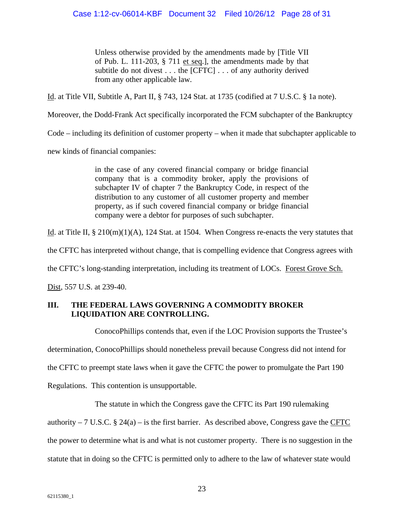Unless otherwise provided by the amendments made by [Title VII of Pub. L. 111-203, § 711 et seq.], the amendments made by that subtitle do not divest . . . the [CFTC] . . . of any authority derived from any other applicable law.

Id. at Title VII, Subtitle A, Part II, § 743, 124 Stat. at 1735 (codified at 7 U.S.C. § 1a note).

Moreover, the Dodd-Frank Act specifically incorporated the FCM subchapter of the Bankruptcy

Code – including its definition of customer property – when it made that subchapter applicable to

new kinds of financial companies:

in the case of any covered financial company or bridge financial company that is a commodity broker, apply the provisions of subchapter IV of chapter 7 the Bankruptcy Code, in respect of the distribution to any customer of all customer property and member property, as if such covered financial company or bridge financial company were a debtor for purposes of such subchapter.

Id. at Title II,  $\S 210(m)(1)(A)$ , 124 Stat. at 1504. When Congress re-enacts the very statutes that

the CFTC has interpreted without change, that is compelling evidence that Congress agrees with

the CFTC's long-standing interpretation, including its treatment of LOCs. Forest Grove Sch.

Dist, 557 U.S. at 239-40.

# **III. THE FEDERAL LAWS GOVERNING A COMMODITY BROKER LIQUIDATION ARE CONTROLLING.**

ConocoPhillips contends that, even if the LOC Provision supports the Trustee's

determination, ConocoPhillips should nonetheless prevail because Congress did not intend for

the CFTC to preempt state laws when it gave the CFTC the power to promulgate the Part 190

Regulations. This contention is unsupportable.

The statute in which the Congress gave the CFTC its Part 190 rulemaking

authority – 7 U.S.C.  $\S 24(a)$  – is the first barrier. As described above, Congress gave the CFTC the power to determine what is and what is not customer property. There is no suggestion in the statute that in doing so the CFTC is permitted only to adhere to the law of whatever state would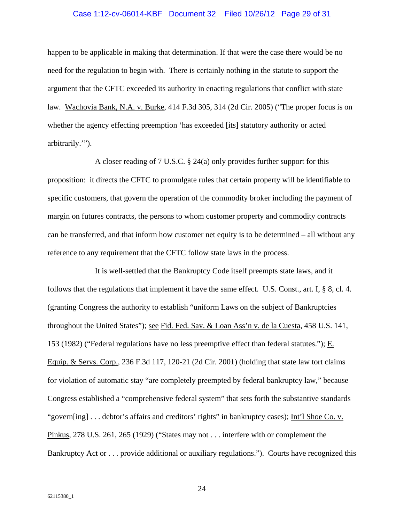#### Case 1:12-cv-06014-KBF Document 32 Filed 10/26/12 Page 29 of 31

happen to be applicable in making that determination. If that were the case there would be no need for the regulation to begin with. There is certainly nothing in the statute to support the argument that the CFTC exceeded its authority in enacting regulations that conflict with state law. Wachovia Bank, N.A. v. Burke, 414 F.3d 305, 314 (2d Cir. 2005) ("The proper focus is on whether the agency effecting preemption 'has exceeded [its] statutory authority or acted arbitrarily.'").

A closer reading of 7 U.S.C. § 24(a) only provides further support for this proposition: it directs the CFTC to promulgate rules that certain property will be identifiable to specific customers, that govern the operation of the commodity broker including the payment of margin on futures contracts, the persons to whom customer property and commodity contracts can be transferred, and that inform how customer net equity is to be determined – all without any reference to any requirement that the CFTC follow state laws in the process.

It is well-settled that the Bankruptcy Code itself preempts state laws, and it follows that the regulations that implement it have the same effect. U.S. Const., art. I, § 8, cl. 4. (granting Congress the authority to establish "uniform Laws on the subject of Bankruptcies throughout the United States"); see Fid. Fed. Sav. & Loan Ass'n v. de la Cuesta, 458 U.S. 141, 153 (1982) ("Federal regulations have no less preemptive effect than federal statutes."); E. Equip. & Servs. Corp., 236 F.3d 117, 120-21 (2d Cir. 2001) (holding that state law tort claims for violation of automatic stay "are completely preempted by federal bankruptcy law," because Congress established a "comprehensive federal system" that sets forth the substantive standards "govern[ing] . . . debtor's affairs and creditors' rights" in bankruptcy cases); Int'l Shoe Co. v. Pinkus, 278 U.S. 261, 265 (1929) ("States may not . . . interfere with or complement the Bankruptcy Act or . . . provide additional or auxiliary regulations."). Courts have recognized this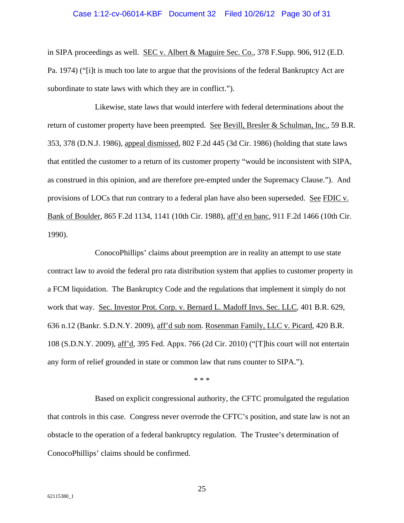#### Case 1:12-cv-06014-KBF Document 32 Filed 10/26/12 Page 30 of 31

in SIPA proceedings as well. SEC v. Albert & Maguire Sec. Co., 378 F.Supp. 906, 912 (E.D. Pa. 1974) ("[i]t is much too late to argue that the provisions of the federal Bankruptcy Act are subordinate to state laws with which they are in conflict.").

Likewise, state laws that would interfere with federal determinations about the return of customer property have been preempted. See Bevill, Bresler & Schulman, Inc., 59 B.R. 353, 378 (D.N.J. 1986), appeal dismissed, 802 F.2d 445 (3d Cir. 1986) (holding that state laws that entitled the customer to a return of its customer property "would be inconsistent with SIPA, as construed in this opinion, and are therefore pre-empted under the Supremacy Clause."). And provisions of LOCs that run contrary to a federal plan have also been superseded. See FDIC v. Bank of Boulder, 865 F.2d 1134, 1141 (10th Cir. 1988), aff'd en banc, 911 F.2d 1466 (10th Cir. 1990).

ConocoPhillips' claims about preemption are in reality an attempt to use state contract law to avoid the federal pro rata distribution system that applies to customer property in a FCM liquidation. The Bankruptcy Code and the regulations that implement it simply do not work that way. Sec. Investor Prot. Corp. v. Bernard L. Madoff Invs. Sec. LLC, 401 B.R. 629, 636 n.12 (Bankr. S.D.N.Y. 2009), aff'd sub nom. Rosenman Family, LLC v. Picard, 420 B.R. 108 (S.D.N.Y. 2009), aff'd, 395 Fed. Appx. 766 (2d Cir. 2010) ("[T]his court will not entertain any form of relief grounded in state or common law that runs counter to SIPA.").

\* \* \*

Based on explicit congressional authority, the CFTC promulgated the regulation that controls in this case. Congress never overrode the CFTC's position, and state law is not an obstacle to the operation of a federal bankruptcy regulation. The Trustee's determination of ConocoPhillips' claims should be confirmed.